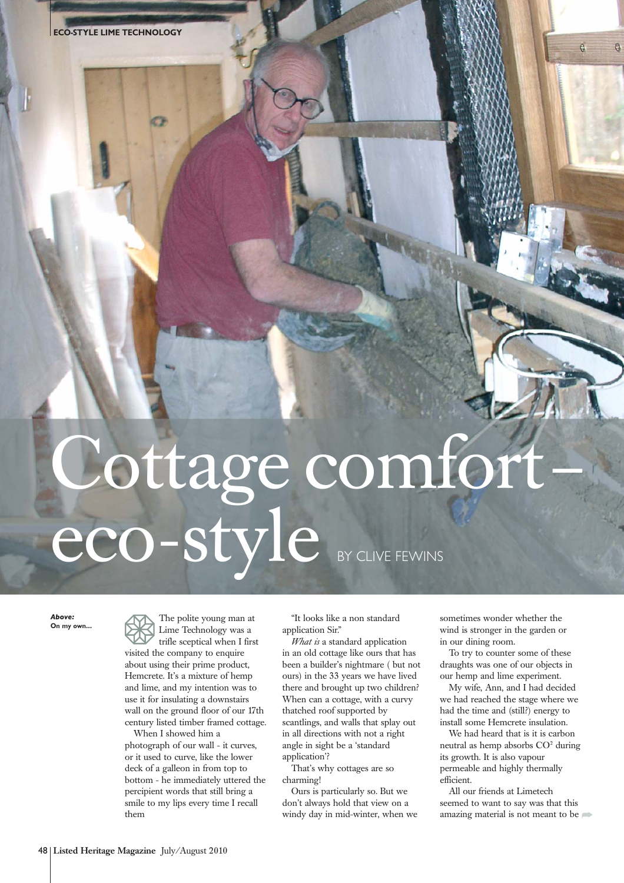## Cottage comfort– eco-style BY CLIVE FEWINS

*Above:*

The polite young man at Lime Technology was a trifle sceptical when I first visited the company to enquire about using their prime product, Hemcrete. It's a mixture of hemp and lime, and my intention was to use it for insulating a downstairs wall on the ground floor of our 17th century listed timber framed cottage. When I showed him a

photograph of our wall - it curves, or it used to curve, like the lower deck of a galleon in from top to bottom - he immediately uttered the percipient words that still bring a smile to my lips every time I recall them

"It looks like a non standard application Sir."

*What is* a standard application in an old cottage like ours that has been a builder's nightmare ( but not ours) in the 33 years we have lived there and brought up two children? When can a cottage, with a curvy thatched roof supported by scantlings, and walls that splay out in all directions with not a right angle in sight be a 'standard application'?

That's why cottages are so charming!

Ours is particularly so. But we don't always hold that view on a windy day in mid-winter, when we

sometimes wonder whether the wind is stronger in the garden or in our dining room.

To try to counter some of these draughts was one of our objects in our hemp and lime experiment.

My wife, Ann, and I had decided we had reached the stage where we had the time and (still?) energy to install some Hemcrete insulation.

We had heard that is it is carbon neutral as hemp absorbs CO<sup>2</sup> during its growth. It is also vapour permeable and highly thermally efficient.

All our friends at Limetech seemed to want to say was that this amazing material is not meant to be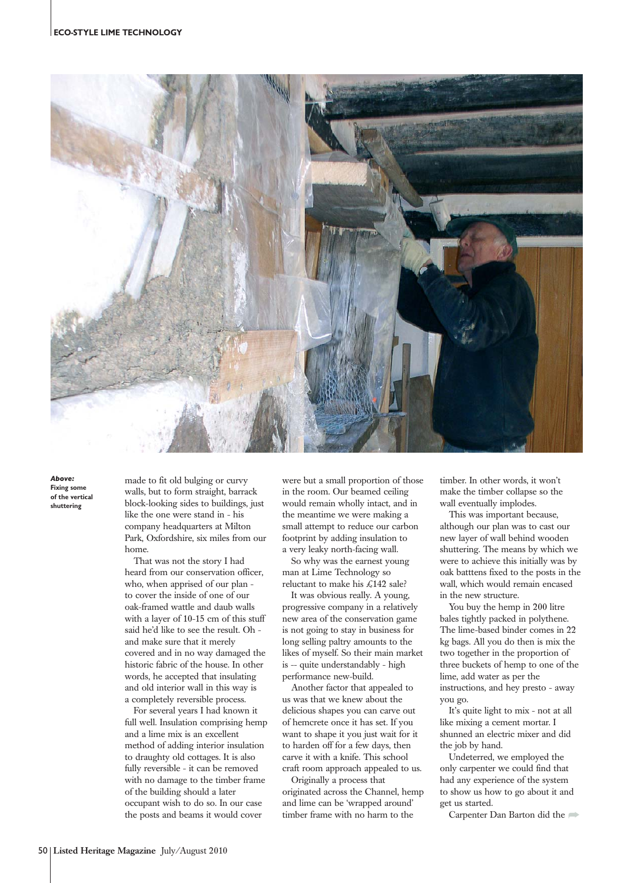

*Above:* **Fixing some of the vertical shuttering**

made to fit old bulging or curvy walls, but to form straight, barrack block-looking sides to buildings, just like the one were stand in - his company headquarters at Milton Park, Oxfordshire, six miles from our home.

That was not the story I had heard from our conservation officer, who, when apprised of our plan to cover the inside of one of our oak-framed wattle and daub walls with a layer of 10-15 cm of this stuff said he'd like to see the result. Oh and make sure that it merely covered and in no way damaged the historic fabric of the house. In other words, he accepted that insulating and old interior wall in this way is a completely reversible process.

For several years I had known it full well. Insulation comprising hemp and a lime mix is an excellent method of adding interior insulation to draughty old cottages. It is also fully reversible - it can be removed with no damage to the timber frame of the building should a later occupant wish to do so. In our case the posts and beams it would cover

were but a small proportion of those in the room. Our beamed ceiling would remain wholly intact, and in the meantime we were making a small attempt to reduce our carbon footprint by adding insulation to a very leaky north-facing wall.

So why was the earnest young man at Lime Technology so reluctant to make his £142 sale?

It was obvious really. A young, progressive company in a relatively new area of the conservation game is not going to stay in business for long selling paltry amounts to the likes of myself. So their main market is -- quite understandably - high performance new-build.

Another factor that appealed to us was that we knew about the delicious shapes you can carve out of hemcrete once it has set. If you want to shape it you just wait for it to harden off for a few days, then carve it with a knife. This school craft room approach appealed to us.

Originally a process that originated across the Channel, hemp and lime can be 'wrapped around' timber frame with no harm to the

timber. In other words, it won't make the timber collapse so the wall eventually implodes.

This was important because, although our plan was to cast our new layer of wall behind wooden shuttering. The means by which we were to achieve this initially was by oak batttens fixed to the posts in the wall, which would remain encased in the new structure.

You buy the hemp in 200 litre bales tightly packed in polythene. The lime-based binder comes in 22 kg bags. All you do then is mix the two together in the proportion of three buckets of hemp to one of the lime, add water as per the instructions, and hey presto - away you go.

It's quite light to mix - not at all like mixing a cement mortar. I shunned an electric mixer and did the job by hand.

Undeterred, we employed the only carpenter we could find that had any experience of the system to show us how to go about it and get us started.

Carpenter Dan Barton did the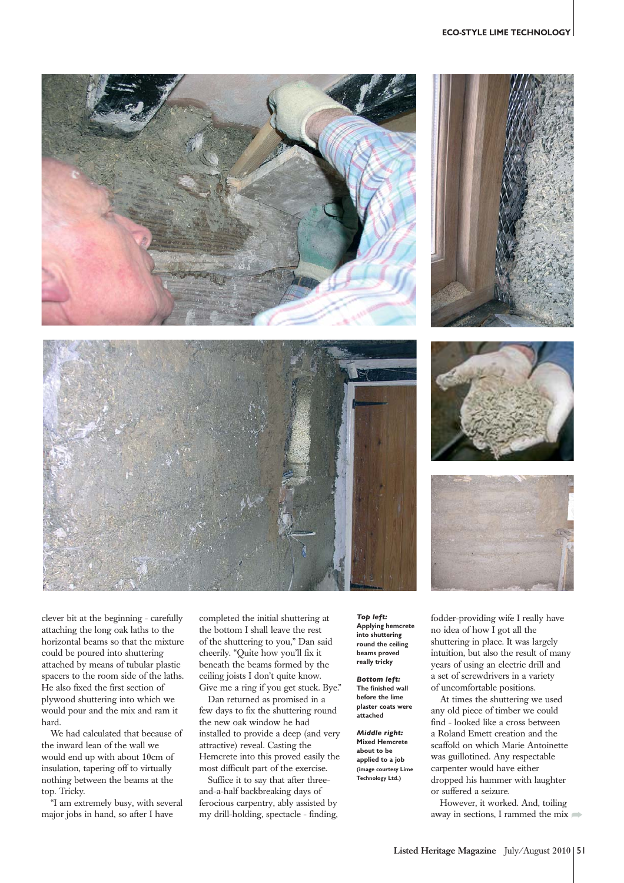## **ECO-STYLE LIME TECHNOLOGY**









clever bit at the beginning - carefully attaching the long oak laths to the horizontal beams so that the mixture could be poured into shuttering attached by means of tubular plastic spacers to the room side of the laths. He also fixed the first section of plywood shuttering into which we would pour and the mix and ram it hard.

We had calculated that because of the inward lean of the wall we would end up with about 10cm of insulation, tapering off to virtually nothing between the beams at the top. Tricky.

"I am extremely busy, with several major jobs in hand, so after I have

completed the initial shuttering at the bottom I shall leave the rest of the shuttering to you," Dan said cheerily. "Quite how you'll fix it beneath the beams formed by the ceiling joists I don't quite know. Give me a ring if you get stuck. Bye."

Dan returned as promised in a few days to fix the shuttering round the new oak window he had installed to provide a deep (and very attractive) reveal. Casting the Hemcrete into this proved easily the most difficult part of the exercise.

Suffice it to say that after threeand-a-half backbreaking days of ferocious carpentry, ably assisted by my drill-holding, spectacle - finding,

*Top left:* **Applying hemcrete into shuttering round the ceiling beams proved really tricky**

*Bottom left:* **The finished wall before the lime plaster coats were attached**

*Middle right:* **Mixed Hemcrete about to be applied to a job (image courtesy Lime Technology Ltd.)**

fodder-providing wife I really have no idea of how I got all the shuttering in place. It was largely intuition, but also the result of many years of using an electric drill and a set of screwdrivers in a variety of uncomfortable positions.

At times the shuttering we used any old piece of timber we could find - looked like a cross between a Roland Emett creation and the scaffold on which Marie Antoinette was guillotined. Any respectable carpenter would have either dropped his hammer with laughter or suffered a seizure.

However, it worked. And, toiling away in sections, I rammed the mix  $\blacksquare$